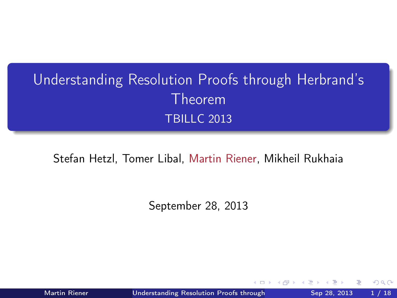## Understanding Resolution Proofs through Herbrand's Theorem TBILLC 2013

#### Stefan Hetzl, Tomer Libal, Martin Riener, Mikheil Rukhaia

September 28, 2013

Martin Riener **Understanding Resolution Proofs through** Sep 28, 2013 1/18

<span id="page-0-0"></span>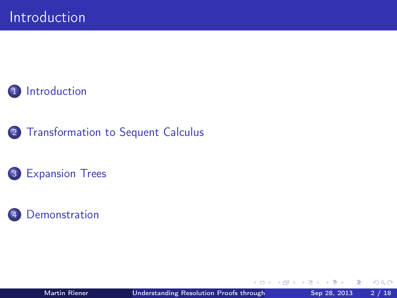

### 2 [Transformation to Sequent Calculus](#page-7-0)

### 3 [Expansion Trees](#page-11-0)



 $\blacksquare$ 

 $QQ$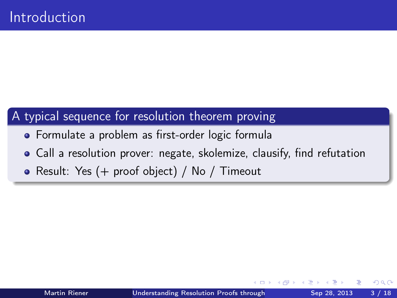### A typical sequence for resolution theorem proving

- Formulate a problem as first-order logic formula
- Call a resolution prover: negate, skolemize, clausify, find refutation
- Result: Yes (+ proof object) / No / Timeout

<span id="page-2-0"></span>つひひ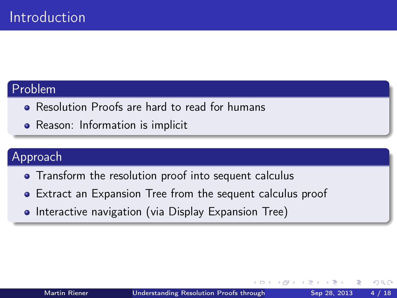#### Problem

- Resolution Proofs are hard to read for humans
- Reason: Information is implicit

#### Approach

- **•** Transform the resolution proof into sequent calculus
- Extract an Expansion Tree from the sequent calculus proof
- Interactive navigation (via Display Expansion Tree)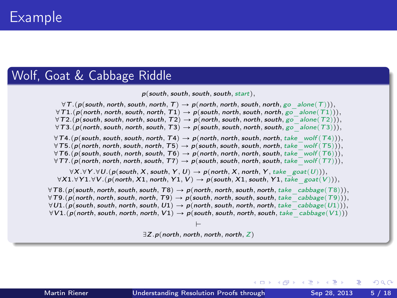#### Wolf, Goat & Cabbage Riddle

 $p(south, south, south, south, start),$ 

 $\forall T.$ (p(south, north, south, north, T)  $\rightarrow$  p(north, north, south, north, go\_alone(T))),  $\forall T1.$ (p(north, north, south, north, T1)  $\rightarrow$  p(south, north, south, north, go\_alone(T1))),  $\forall$ T2.(p(south, south, north, south, T2)  $\rightarrow$  p(north, south, north, south, go\_alone(T2))),  $\forall$ T3.(p(north, south, north, south, T3)  $\rightarrow$  p(south, south, north, south, go<sup>-</sup>alone(T3))),  $\forall T4.$ (p(south, south, south, north, T4)  $\rightarrow$  p(north, north, south, north, take wolf (T4))).  $\forall$ T5. $\overline{p}$  (p) north, north, south, north, T5 $\rho \rightarrow p$  (south, south, south, north, take wolf  $(T5)$ ),  $\forall T6.$  p(south, south, north, south, T6)  $\rightarrow$  p(north, north, north, south, take\_wolf  $(T6)$ )).  $\forall$ T7. $(p$ (north, north, north, south, T7)  $\rightarrow$  p(south, south, north, south, take<sup>-wolf (T7))</sup>),  $\forall X. \forall Y. \forall U. (p(south, X, south, Y, U) \rightarrow p(north, X, north, Y, take_{\text{post}}(U))).$  $\forall X1. \forall Y1. \forall V. (\rho(\text{north}, X1, \text{north}, Y1, V) \rightarrow \rho(\text{south}, X1, \text{south}, Y1, \text{take} \text{ goat}(V))).$  $\forall T8.$ (p(south, north, south, south, T8)  $\rightarrow$  p(north, north, south, north, take cabbage(T8))),  $\forall$ T9.(p(north, north, south, north, T9)  $\rightarrow$  p(south, north, south, south, take cabbage(T9))),  $\forall U1.(\rho(\textit{south}, \textit{south}, \textit{both}, \textit{with}, U1) \rightarrow \rho(\textit{north}, \textit{south}, \textit{north}, \textit{fork}, \textit{take}^{\top}\textit{cabbage}(U1))),$  $\forall V1.$  $\overline{(p(north, south, north, north, V1)} \rightarrow p(south, south, north, south, take -cabbage(V1)))$ 

> $\vdash$  $\exists Z.p (north. north. north. north. Z)$

( □ ) ( / 何 ) ( □ ) ( □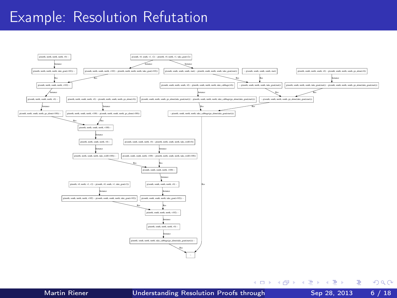### Example: Resolution Refutation



÷.

 $QQ$ 

イロト イ押ト イヨト イヨト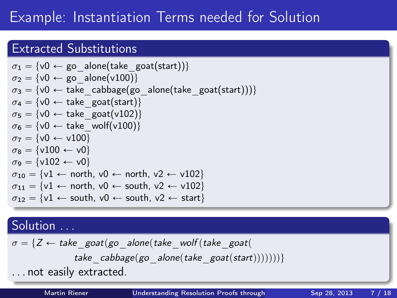### Example: Instantiation Terms needed for Solution

### Extracted Substitutions

$$
\sigma_1 = \{v0 \leftarrow go\_alone(take\_goat(start))\}
$$
\n
$$
\sigma_2 = \{v0 \leftarrow go\_alone(v100)\}
$$
\n
$$
\sigma_3 = \{v0 \leftarrow take\_cabbage(go\_alone(take\_goat(start)))\}
$$
\n
$$
\sigma_4 = \{v0 \leftarrow take\_goat(start)\}
$$
\n
$$
\sigma_5 = \{v0 \leftarrow take\_goat(v102)\}
$$
\n
$$
\sigma_6 = \{v0 \leftarrow take\_wolf(v100)\}
$$
\n
$$
\sigma_7 = \{v0 \leftarrow v100\}
$$
\n
$$
\sigma_8 = \{v100 \leftarrow v0\}
$$
\n
$$
\sigma_9 = \{v102 \leftarrow v0\}
$$
\n
$$
\sigma_{10} = \{v1 \leftarrow north, v0 \leftarrow north, v2 \leftarrow v102\}
$$
\n
$$
\sigma_{11} = \{v1 \leftarrow north, v0 \leftarrow south, v2 \leftarrow v102\}
$$
\n
$$
\sigma_{12} = \{v1 \leftarrow south, v0 \leftarrow south, v2 \leftarrow start\}
$$

### Solution ...

$$
\sigma = \{Z \leftarrow take\_goat(go\_alone(take\_wolf(take\_goat(\ntake\_cabbage(go\_alone(take\_goat(start)))))))\}
$$
  
... not easily extracted.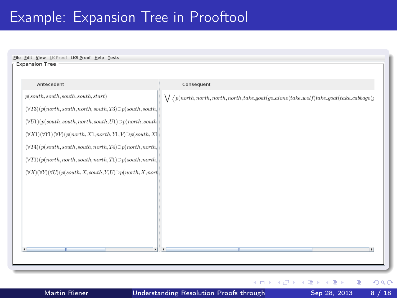### Example: Expansion Tree in Prooftool

| Antecedent                                                                            | Consequent                                                                                                                                                                                                                                                                                                                                                                                                                                                                                                                                 |
|---------------------------------------------------------------------------------------|--------------------------------------------------------------------------------------------------------------------------------------------------------------------------------------------------------------------------------------------------------------------------------------------------------------------------------------------------------------------------------------------------------------------------------------------------------------------------------------------------------------------------------------------|
| p(south, south, south, south, start)                                                  | $\bigvee \bigvee \bigvee \big( \textit{north}, \textit{north}, \textit{north}, \textit{north}, \textit{take\_goal}(\textit{go\_alone}(\textit{take\_wo1f}(\textit{take\_good}(\textit{take\_cabbage}(\textit{name}(\textit{take\_cabbage}(\textit{name}(\textit{take}(\textit{name}(\textit{take}(\textit{name}(\textit{take}(\textit{name}(\textit{take}(\textit{name}(\textit{make}(\textit{name}(\textit{make}(\textit{name}(\textit{make}(\textit{name}(\textit{make}(\textit{name}(\textit{make}(\textit{name}(\textit{make}(\textit$ |
| $(\forall T3) (p (north, south, north, south, T3) \supset p (south, south,$           |                                                                                                                                                                                                                                                                                                                                                                                                                                                                                                                                            |
| $(\forall U1)(p(south, south, north, south, U1) \supset p(north, south)$              |                                                                                                                                                                                                                                                                                                                                                                                                                                                                                                                                            |
| $(\forall X1)(\forall Y1)(\forall V)(p(north,X1, north,Y1,V)\supset p(south,X1)$      |                                                                                                                                                                                                                                                                                                                                                                                                                                                                                                                                            |
| $(\forall T4) (p (south, south, south, north, T4) \supset p (north, north,$           |                                                                                                                                                                                                                                                                                                                                                                                                                                                                                                                                            |
| $(\forall T1) (p (north, north, south, north, T1) \supset p (south, north,$           |                                                                                                                                                                                                                                                                                                                                                                                                                                                                                                                                            |
| $(\forall X)(\forall Y)(\forall U)(p(south, X, south, Y, U) \supset p(north, X, nort$ |                                                                                                                                                                                                                                                                                                                                                                                                                                                                                                                                            |
|                                                                                       |                                                                                                                                                                                                                                                                                                                                                                                                                                                                                                                                            |
|                                                                                       |                                                                                                                                                                                                                                                                                                                                                                                                                                                                                                                                            |
|                                                                                       |                                                                                                                                                                                                                                                                                                                                                                                                                                                                                                                                            |
|                                                                                       |                                                                                                                                                                                                                                                                                                                                                                                                                                                                                                                                            |
|                                                                                       |                                                                                                                                                                                                                                                                                                                                                                                                                                                                                                                                            |
| $\overline{\phantom{a}}$<br>m                                                         | াৰ<br>m<br>٠                                                                                                                                                                                                                                                                                                                                                                                                                                                                                                                               |

 $\leftarrow$ 

Þ

<span id="page-7-0"></span> $299$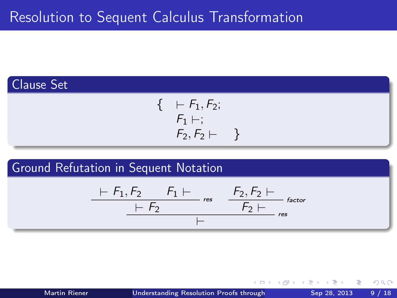



$$
\begin{array}{c|cc}\n & F_1, F_2 & F_1 \vdash \\
\hline\n & F_2 & \downarrow \\
\hline\n & F_2 \vdash \\
\hline\n & F_3 \vdash \\
\hline\n\end{array} \quad \text{rescor}
$$

4 **D** F

 $QQ$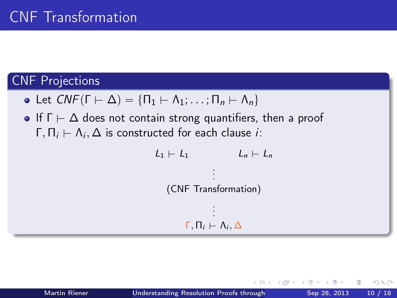### CNF Projections

- Let  $CNF(\Gamma \vdash \Delta) = {\Pi_1 \vdash \Lambda_1; \ldots; \Pi_n \vdash \Lambda_n}$
- If  $\Gamma \vdash \Delta$  does not contain strong quantifiers, then a proof  $\Gamma, \Pi_i \vdash \Lambda_i, \Delta$  is constructed for each clause *i*:

$$
L_1 \vdash L_1 \qquad L_n \vdash L_n
$$
  
\n
$$
\vdots
$$
  
\n(CNF Transformation)  
\n
$$
\vdots
$$
  
\n
$$
\Gamma, \Pi_i \vdash \Lambda_i, \Delta
$$

つひひ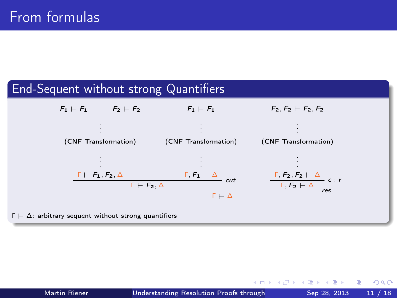### End-Sequent without strong Quantifiers



 $\Gamma \vdash \Delta$ : arbitrary sequent without strong quantifiers

イロト イ母 ト イヨ ト イヨ トー

 $299$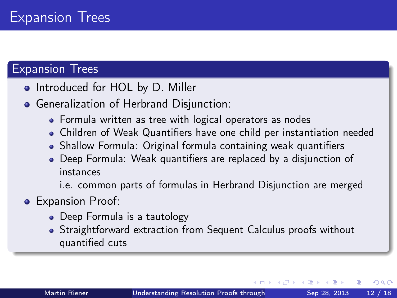### Expansion Trees

- Introduced for HOL by D. Miller
- Generalization of Herbrand Disjunction:
	- Formula written as tree with logical operators as nodes
	- Children of Weak Quantifiers have one child per instantiation needed
	- Shallow Formula: Original formula containing weak quantifiers
	- Deep Formula: Weak quantifiers are replaced by a disjunction of instances

i.e. common parts of formulas in Herbrand Disjunction are merged

### **•** Expansion Proof:

- Deep Formula is a tautology
- <span id="page-11-0"></span>Straightforward extraction from Sequent Calculus proofs without quantified cuts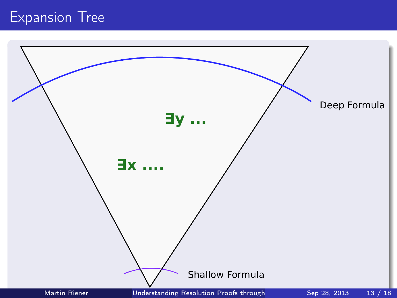### Expansion Tree

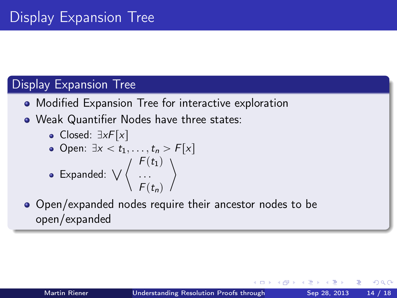### Display Expansion Tree

- Modified Expansion Tree for interactive exploration
- Weak Quantifier Nodes have three states:
	- Closed:  $\exists x F[x]$

<span id="page-13-0"></span>\n- Open: 
$$
\exists x < t_1, \ldots, t_n > F[x]
$$
\n- Expanded:  $\bigvee \left\langle \begin{array}{c} F(t_1) \\ \ldots \\ F(t_n) \end{array} \right\rangle$
\n

• Open/expanded nodes require their ancestor nodes to be open/expanded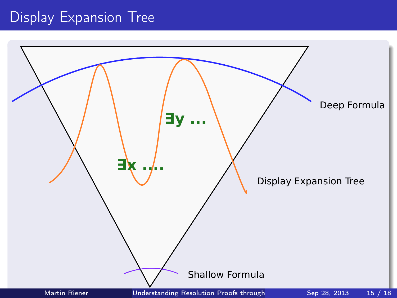### Display Expansion Tree

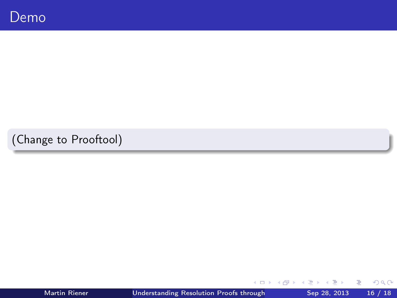(Change to Prooftool)

4 ロ ▶ (母

 $\rightarrow$ ×. ×  $\mathcal{A}$  Þ J. 重

<span id="page-15-0"></span> $299$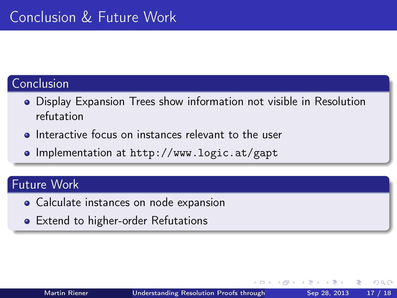### Conclusion

- Display Expansion Trees show information not visible in Resolution refutation
- **o** Interactive focus on instances relevant to the user
- Implementation at <http://www.logic.at/gapt>

#### Future Work

- Calculate instances on node expansion
- **•** Extend to higher-order Refutations